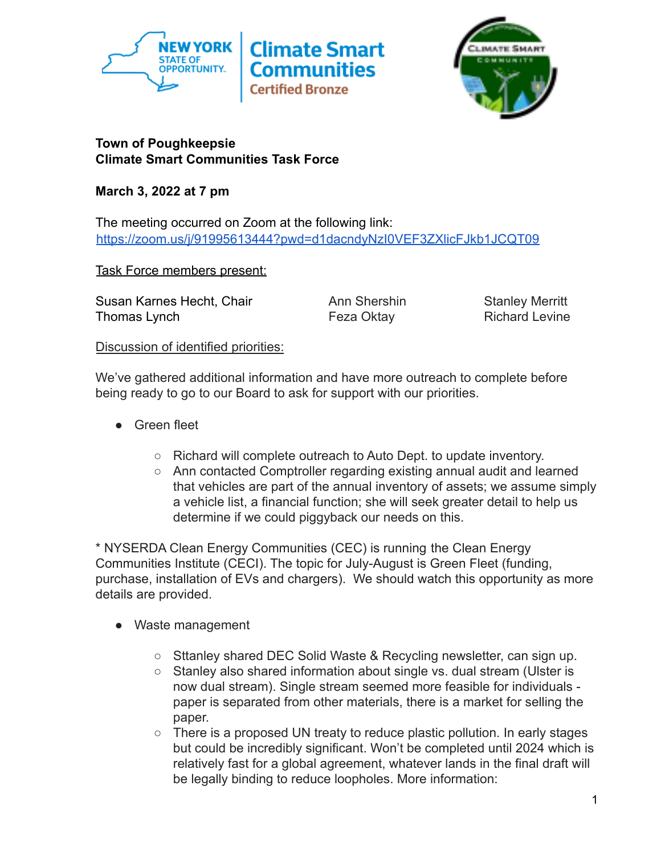



# **Town of Poughkeepsie Climate Smart Communities Task Force**

**March 3, 2022 at 7 pm**

The meeting occurred on Zoom at the following link: <https://zoom.us/j/91995613444?pwd=d1dacndyNzI0VEF3ZXlicFJkb1JCQT09>

Task Force members present:

Susan Karnes Hecht, Chair **Ann Shershin** Stanley Merritt Thomas Lynch **Feza Oktay** Feza Oktay Richard Levine

# Discussion of identified priorities:

We've gathered additional information and have more outreach to complete before being ready to go to our Board to ask for support with our priorities.

- Green fleet
	- Richard will complete outreach to Auto Dept. to update inventory.
	- Ann contacted Comptroller regarding existing annual audit and learned that vehicles are part of the annual inventory of assets; we assume simply a vehicle list, a financial function; she will seek greater detail to help us determine if we could piggyback our needs on this.

\* NYSERDA Clean Energy Communities (CEC) is running the Clean Energy Communities Institute (CECI). The topic for July-August is Green Fleet (funding, purchase, installation of EVs and chargers). We should watch this opportunity as more details are provided.

- Waste management
	- Sttanley shared DEC Solid Waste & Recycling newsletter, can sign up.
	- Stanley also shared information about single vs. dual stream (Ulster is now dual stream). Single stream seemed more feasible for individuals paper is separated from other materials, there is a market for selling the paper.
	- $\circ$  There is a proposed UN treaty to reduce plastic pollution. In early stages but could be incredibly significant. Won't be completed until 2024 which is relatively fast for a global agreement, whatever lands in the final draft will be legally binding to reduce loopholes. More information: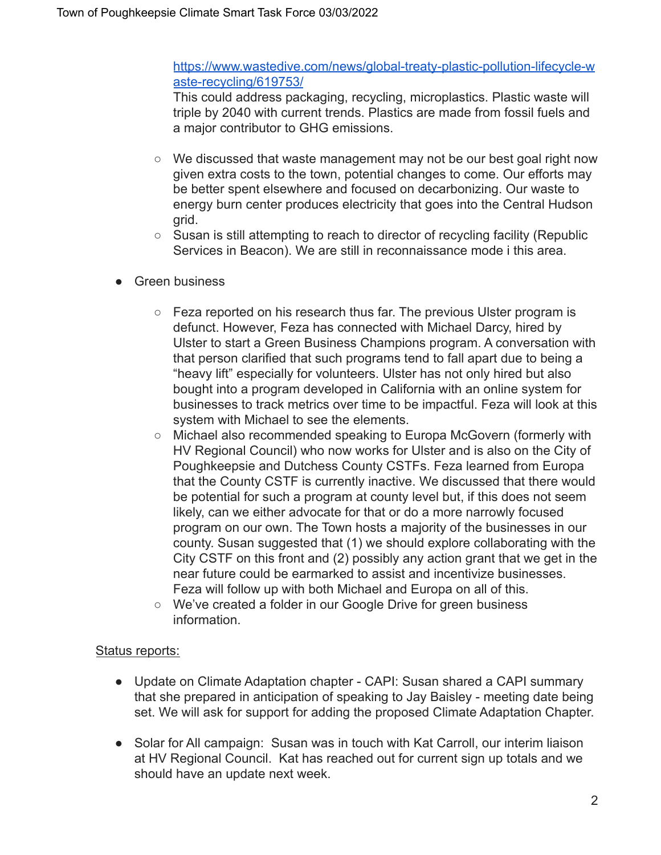### [https://www.wastedive.com/news/global-treaty-plastic-pollution-lifecycle-w](https://www.wastedive.com/news/global-treaty-plastic-pollution-lifecycle-waste-recycling/619753/) [aste-recycling/619753/](https://www.wastedive.com/news/global-treaty-plastic-pollution-lifecycle-waste-recycling/619753/)

This could address packaging, recycling, microplastics. Plastic waste will triple by 2040 with current trends. Plastics are made from fossil fuels and a major contributor to GHG emissions.

- $\circ$  We discussed that waste management may not be our best goal right now given extra costs to the town, potential changes to come. Our efforts may be better spent elsewhere and focused on decarbonizing. Our waste to energy burn center produces electricity that goes into the Central Hudson grid.
- Susan is still attempting to reach to director of recycling facility (Republic Services in Beacon). We are still in reconnaissance mode i this area.
- Green business
	- $\circ$  Feza reported on his research thus far. The previous Ulster program is defunct. However, Feza has connected with Michael Darcy, hired by Ulster to start a Green Business Champions program. A conversation with that person clarified that such programs tend to fall apart due to being a "heavy lift" especially for volunteers. Ulster has not only hired but also bought into a program developed in California with an online system for businesses to track metrics over time to be impactful. Feza will look at this system with Michael to see the elements.
	- Michael also recommended speaking to Europa McGovern (formerly with HV Regional Council) who now works for Ulster and is also on the City of Poughkeepsie and Dutchess County CSTFs. Feza learned from Europa that the County CSTF is currently inactive. We discussed that there would be potential for such a program at county level but, if this does not seem likely, can we either advocate for that or do a more narrowly focused program on our own. The Town hosts a majority of the businesses in our county. Susan suggested that (1) we should explore collaborating with the City CSTF on this front and (2) possibly any action grant that we get in the near future could be earmarked to assist and incentivize businesses. Feza will follow up with both Michael and Europa on all of this.
	- We've created a folder in our Google Drive for green business information.

### Status reports:

- Update on Climate Adaptation chapter CAPI: Susan shared a CAPI summary that she prepared in anticipation of speaking to Jay Baisley - meeting date being set. We will ask for support for adding the proposed Climate Adaptation Chapter.
- Solar for All campaign: Susan was in touch with Kat Carroll, our interim liaison at HV Regional Council. Kat has reached out for current sign up totals and we should have an update next week.